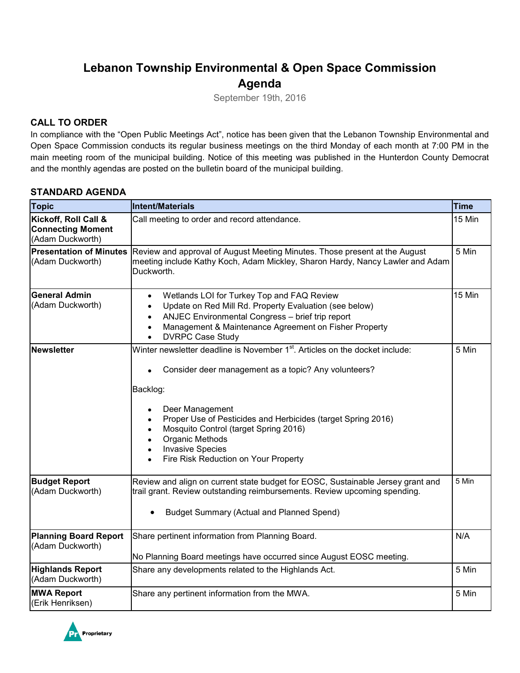# **Lebanon Township Environmental & Open Space Commission Agenda**

September 19th, 2016

## **CALL TO ORDER**

In compliance with the "Open Public Meetings Act", notice has been given that the Lebanon Township Environmental and Open Space Commission conducts its regular business meetings on the third Monday of each month at 7:00 PM in the main meeting room of the municipal building. Notice of this meeting was published in the Hunterdon County Democrat and the monthly agendas are posted on the bulletin board of the municipal building.

#### **STANDARD AGENDA**

| <b>Topic</b>                                                         | <b>Intent/Materials</b>                                                                                                                                                                                                                                                                                                                                                                                  | <b>Time</b> |
|----------------------------------------------------------------------|----------------------------------------------------------------------------------------------------------------------------------------------------------------------------------------------------------------------------------------------------------------------------------------------------------------------------------------------------------------------------------------------------------|-------------|
| Kickoff, Roll Call &<br><b>Connecting Moment</b><br>(Adam Duckworth) | Call meeting to order and record attendance.                                                                                                                                                                                                                                                                                                                                                             | 15 Min      |
| <b>Presentation of Minutes</b><br>(Adam Duckworth)                   | 5 Min<br>Review and approval of August Meeting Minutes. Those present at the August<br>meeting include Kathy Koch, Adam Mickley, Sharon Hardy, Nancy Lawler and Adam<br>Duckworth.                                                                                                                                                                                                                       |             |
| <b>General Admin</b><br>(Adam Duckworth)                             | Wetlands LOI for Turkey Top and FAQ Review<br>$\bullet$<br>Update on Red Mill Rd. Property Evaluation (see below)<br>$\bullet$<br>ANJEC Environmental Congress - brief trip report<br>$\bullet$<br>Management & Maintenance Agreement on Fisher Property<br>$\bullet$<br><b>DVRPC Case Study</b>                                                                                                         | 15 Min      |
| <b>Newsletter</b>                                                    | Winter newsletter deadline is November 1 <sup>st</sup> . Articles on the docket include:<br>Consider deer management as a topic? Any volunteers?<br>Backlog:<br>Deer Management<br>Proper Use of Pesticides and Herbicides (target Spring 2016)<br>Mosquito Control (target Spring 2016)<br>Organic Methods<br>$\bullet$<br><b>Invasive Species</b><br>$\bullet$<br>Fire Risk Reduction on Your Property | 5 Min       |
| <b>Budget Report</b><br>(Adam Duckworth)                             | Review and align on current state budget for EOSC, Sustainable Jersey grant and<br>trail grant. Review outstanding reimbursements. Review upcoming spending.<br><b>Budget Summary (Actual and Planned Spend)</b>                                                                                                                                                                                         | 5 Min       |
| <b>Planning Board Report</b><br>(Adam Duckworth)                     | Share pertinent information from Planning Board.<br>No Planning Board meetings have occurred since August EOSC meeting.                                                                                                                                                                                                                                                                                  | N/A         |
| <b>Highlands Report</b><br>(Adam Duckworth)                          | Share any developments related to the Highlands Act.                                                                                                                                                                                                                                                                                                                                                     | 5 Min       |
| <b>MWA Report</b><br>(Erik Henriksen)                                | Share any pertinent information from the MWA.                                                                                                                                                                                                                                                                                                                                                            | 5 Min       |

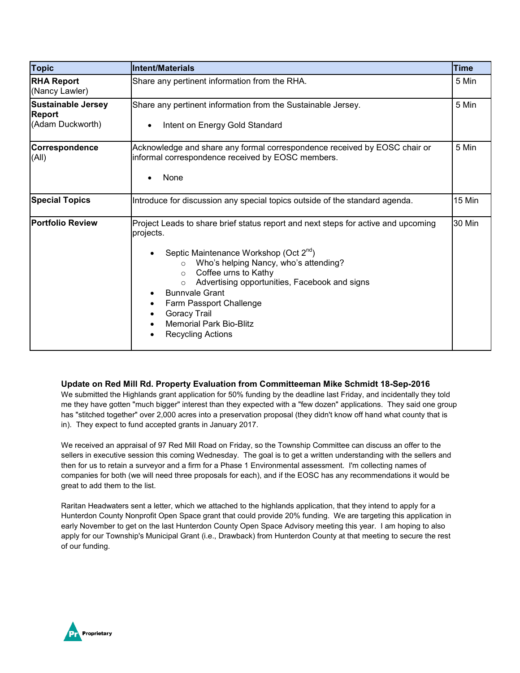| <b>Topic</b>                                                   | <b>Intent/Materials</b>                                                                                                                                                                                                                                                                                                                                                                                                                          | <b>Time</b> |
|----------------------------------------------------------------|--------------------------------------------------------------------------------------------------------------------------------------------------------------------------------------------------------------------------------------------------------------------------------------------------------------------------------------------------------------------------------------------------------------------------------------------------|-------------|
| <b>RHA Report</b><br>(Nancy Lawler)                            | Share any pertinent information from the RHA.                                                                                                                                                                                                                                                                                                                                                                                                    | 5 Min       |
| <b>Sustainable Jersey</b><br><b>Report</b><br>(Adam Duckworth) | Share any pertinent information from the Sustainable Jersey.<br>Intent on Energy Gold Standard<br>$\bullet$                                                                                                                                                                                                                                                                                                                                      | 5 Min       |
| Correspondence<br>(A  )                                        | Acknowledge and share any formal correspondence received by EOSC chair or<br>informal correspondence received by EOSC members.<br>None                                                                                                                                                                                                                                                                                                           | 5 Min       |
| <b>Special Topics</b>                                          | Introduce for discussion any special topics outside of the standard agenda.                                                                                                                                                                                                                                                                                                                                                                      | 15 Min      |
| <b>Portfolio Review</b>                                        | Project Leads to share brief status report and next steps for active and upcoming<br>projects.<br>Septic Maintenance Workshop (Oct 2 <sup>nd</sup> )<br>Who's helping Nancy, who's attending?<br>$\circ$<br>Coffee urns to Kathy<br>$\circ$<br>Advertising opportunities, Facebook and signs<br>$\circ$<br><b>Bunnvale Grant</b><br>Farm Passport Challenge<br><b>Goracy Trail</b><br><b>Memorial Park Bio-Blitz</b><br><b>Recycling Actions</b> | 30 Min      |

#### **Update on Red Mill Rd. Property Evaluation from Committeeman Mike Schmidt 18-Sep-2016**

We submitted the Highlands grant application for 50% funding by the deadline last Friday, and incidentally they told me they have gotten "much bigger" interest than they expected with a "few dozen" applications. They said one group has "stitched together" over 2,000 acres into a preservation proposal (they didn't know off hand what county that is in). They expect to fund accepted grants in January 2017.

We received an appraisal of 97 Red Mill Road on Friday, so the Township Committee can discuss an offer to the sellers in executive session this coming Wednesday. The goal is to get a written understanding with the sellers and then for us to retain a surveyor and a firm for a Phase 1 Environmental assessment. I'm collecting names of companies for both (we will need three proposals for each), and if the EOSC has any recommendations it would be great to add them to the list.

Raritan Headwaters sent a letter, which we attached to the highlands application, that they intend to apply for a Hunterdon County Nonprofit Open Space grant that could provide 20% funding. We are targeting this application in early November to get on the last Hunterdon County Open Space Advisory meeting this year. I am hoping to also apply for our Township's Municipal Grant (i.e., Drawback) from Hunterdon County at that meeting to secure the rest of our funding.

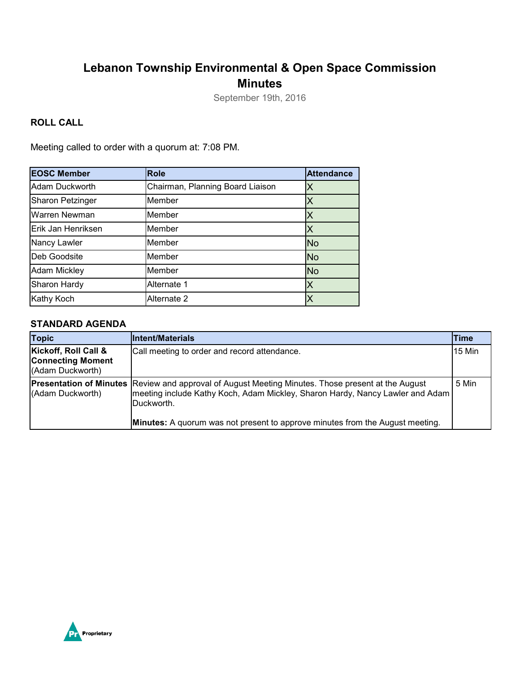## **Lebanon Township Environmental & Open Space Commission Minutes**

September 19th, 2016

### **ROLL CALL**

Meeting called to order with a quorum at: 7:08 PM.

| <b>EOSC Member</b>  | <b>Role</b>                      | <b>Attendance</b> |
|---------------------|----------------------------------|-------------------|
| Adam Duckworth      | Chairman, Planning Board Liaison |                   |
| Sharon Petzinger    | Member                           |                   |
| Warren Newman       | Member                           |                   |
| Erik Jan Henriksen  | Member                           |                   |
| Nancy Lawler        | Member                           | <b>No</b>         |
| Deb Goodsite        | Member                           | <b>No</b>         |
| <b>Adam Mickley</b> | Member                           | <b>No</b>         |
| Sharon Hardy        | Alternate 1                      | Χ                 |
| Kathy Koch          | Alternate 2                      |                   |

#### **STANDARD AGENDA**

| <b>Topic</b>                                                         | <b>Intent/Materials</b>                                                                                                                                                                                                                                                                   | Time          |
|----------------------------------------------------------------------|-------------------------------------------------------------------------------------------------------------------------------------------------------------------------------------------------------------------------------------------------------------------------------------------|---------------|
| Kickoff, Roll Call &<br><b>Connecting Moment</b><br>(Adam Duckworth) | Call meeting to order and record attendance.                                                                                                                                                                                                                                              | <b>15 Min</b> |
| (Adam Duckworth)                                                     | <b>Presentation of Minutes Review and approval of August Meeting Minutes. Those present at the August</b><br>meeting include Kathy Koch, Adam Mickley, Sharon Hardy, Nancy Lawler and Adam<br>Duckworth.<br>Minutes: A quorum was not present to approve minutes from the August meeting. | 5 Min         |

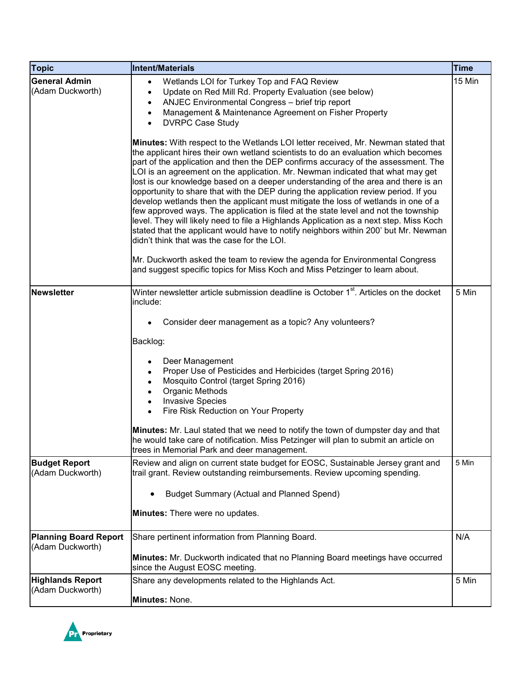| <b>Topic</b>                                     | <b>Intent/Materials</b>                                                                                                                                                                                                                                                                                                                                                                                                                                                                                                                                                                                                                                                                                                                                                                                                                                                                                                                 | <b>Time</b> |
|--------------------------------------------------|-----------------------------------------------------------------------------------------------------------------------------------------------------------------------------------------------------------------------------------------------------------------------------------------------------------------------------------------------------------------------------------------------------------------------------------------------------------------------------------------------------------------------------------------------------------------------------------------------------------------------------------------------------------------------------------------------------------------------------------------------------------------------------------------------------------------------------------------------------------------------------------------------------------------------------------------|-------------|
| <b>General Admin</b><br>(Adam Duckworth)         | Wetlands LOI for Turkey Top and FAQ Review<br>$\bullet$<br>Update on Red Mill Rd. Property Evaluation (see below)<br>ANJEC Environmental Congress - brief trip report<br>٠<br>Management & Maintenance Agreement on Fisher Property<br><b>DVRPC Case Study</b>                                                                                                                                                                                                                                                                                                                                                                                                                                                                                                                                                                                                                                                                          | 15 Min      |
|                                                  | Minutes: With respect to the Wetlands LOI letter received, Mr. Newman stated that<br>the applicant hires their own wetland scientists to do an evaluation which becomes<br>part of the application and then the DEP confirms accuracy of the assessment. The<br>LOI is an agreement on the application. Mr. Newman indicated that what may get<br>lost is our knowledge based on a deeper understanding of the area and there is an<br>opportunity to share that with the DEP during the application review period. If you<br>develop wetlands then the applicant must mitigate the loss of wetlands in one of a<br>few approved ways. The application is filed at the state level and not the township<br>level. They will likely need to file a Highlands Application as a next step. Miss Koch<br>stated that the applicant would have to notify neighbors within 200' but Mr. Newman<br>didn't think that was the case for the LOI. |             |
|                                                  | Mr. Duckworth asked the team to review the agenda for Environmental Congress<br>and suggest specific topics for Miss Koch and Miss Petzinger to learn about.                                                                                                                                                                                                                                                                                                                                                                                                                                                                                                                                                                                                                                                                                                                                                                            |             |
| <b>Newsletter</b>                                | Winter newsletter article submission deadline is October 1 <sup>st</sup> . Articles on the docket<br>include:                                                                                                                                                                                                                                                                                                                                                                                                                                                                                                                                                                                                                                                                                                                                                                                                                           | 5 Min       |
|                                                  | Consider deer management as a topic? Any volunteers?                                                                                                                                                                                                                                                                                                                                                                                                                                                                                                                                                                                                                                                                                                                                                                                                                                                                                    |             |
|                                                  | Backlog:                                                                                                                                                                                                                                                                                                                                                                                                                                                                                                                                                                                                                                                                                                                                                                                                                                                                                                                                |             |
|                                                  | Deer Management<br>Proper Use of Pesticides and Herbicides (target Spring 2016)<br>Mosquito Control (target Spring 2016)<br>Organic Methods<br><b>Invasive Species</b><br>$\bullet$<br>Fire Risk Reduction on Your Property                                                                                                                                                                                                                                                                                                                                                                                                                                                                                                                                                                                                                                                                                                             |             |
|                                                  | Minutes: Mr. Laul stated that we need to notify the town of dumpster day and that<br>he would take care of notification. Miss Petzinger will plan to submit an article on<br>trees in Memorial Park and deer management.                                                                                                                                                                                                                                                                                                                                                                                                                                                                                                                                                                                                                                                                                                                |             |
| <b>Budget Report</b><br>(Adam Duckworth)         | Review and align on current state budget for EOSC, Sustainable Jersey grant and<br>trail grant. Review outstanding reimbursements. Review upcoming spending.                                                                                                                                                                                                                                                                                                                                                                                                                                                                                                                                                                                                                                                                                                                                                                            | 5 Min       |
|                                                  | <b>Budget Summary (Actual and Planned Spend)</b>                                                                                                                                                                                                                                                                                                                                                                                                                                                                                                                                                                                                                                                                                                                                                                                                                                                                                        |             |
|                                                  | Minutes: There were no updates.                                                                                                                                                                                                                                                                                                                                                                                                                                                                                                                                                                                                                                                                                                                                                                                                                                                                                                         |             |
| <b>Planning Board Report</b><br>(Adam Duckworth) | Share pertinent information from Planning Board.                                                                                                                                                                                                                                                                                                                                                                                                                                                                                                                                                                                                                                                                                                                                                                                                                                                                                        | N/A         |
|                                                  | Minutes: Mr. Duckworth indicated that no Planning Board meetings have occurred<br>since the August EOSC meeting.                                                                                                                                                                                                                                                                                                                                                                                                                                                                                                                                                                                                                                                                                                                                                                                                                        |             |
| <b>Highlands Report</b>                          | Share any developments related to the Highlands Act.                                                                                                                                                                                                                                                                                                                                                                                                                                                                                                                                                                                                                                                                                                                                                                                                                                                                                    | 5 Min       |
| (Adam Duckworth)                                 | Minutes: None.                                                                                                                                                                                                                                                                                                                                                                                                                                                                                                                                                                                                                                                                                                                                                                                                                                                                                                                          |             |

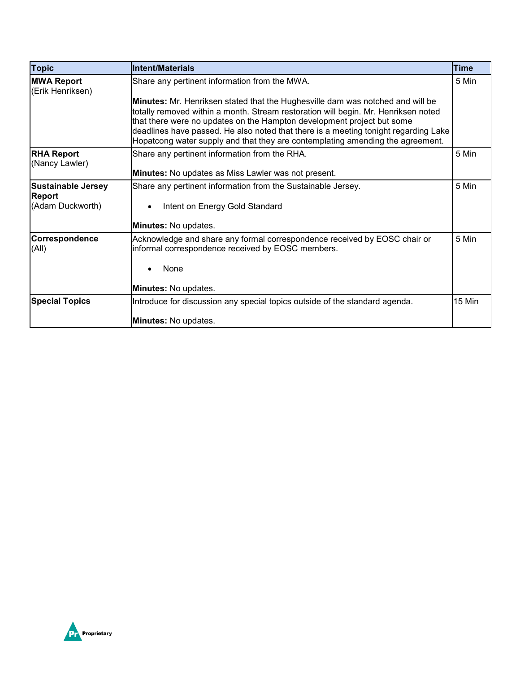| <b>Topic</b>                          | <b>Intent/Materials</b>                                                                                                                                                                                                                                                                                                                                                                                                        | Time   |
|---------------------------------------|--------------------------------------------------------------------------------------------------------------------------------------------------------------------------------------------------------------------------------------------------------------------------------------------------------------------------------------------------------------------------------------------------------------------------------|--------|
| <b>MWA Report</b><br>(Erik Henriksen) | Share any pertinent information from the MWA.                                                                                                                                                                                                                                                                                                                                                                                  | 5 Min  |
|                                       | <b>Minutes:</b> Mr. Henriksen stated that the Hughesville dam was notched and will be<br>totally removed within a month. Stream restoration will begin. Mr. Henriksen noted<br>that there were no updates on the Hampton development project but some<br>deadlines have passed. He also noted that there is a meeting tonight regarding Lake<br>Hopatcong water supply and that they are contemplating amending the agreement. |        |
| <b>RHA Report</b><br>(Nancy Lawler)   | Share any pertinent information from the RHA.<br><b>Minutes:</b> No updates as Miss Lawler was not present.                                                                                                                                                                                                                                                                                                                    | 5 Min  |
| <b>Sustainable Jersey</b>             | Share any pertinent information from the Sustainable Jersey.                                                                                                                                                                                                                                                                                                                                                                   | 5 Min  |
| <b>Report</b>                         |                                                                                                                                                                                                                                                                                                                                                                                                                                |        |
| (Adam Duckworth)                      | Intent on Energy Gold Standard<br>$\bullet$                                                                                                                                                                                                                                                                                                                                                                                    |        |
|                                       | Minutes: No updates.                                                                                                                                                                                                                                                                                                                                                                                                           |        |
| Correspondence<br>(All)               | Acknowledge and share any formal correspondence received by EOSC chair or<br>informal correspondence received by EOSC members.                                                                                                                                                                                                                                                                                                 | 5 Min  |
|                                       | None                                                                                                                                                                                                                                                                                                                                                                                                                           |        |
|                                       | Minutes: No updates.                                                                                                                                                                                                                                                                                                                                                                                                           |        |
| <b>Special Topics</b>                 | Introduce for discussion any special topics outside of the standard agenda.                                                                                                                                                                                                                                                                                                                                                    | 15 Min |
|                                       | Minutes: No updates.                                                                                                                                                                                                                                                                                                                                                                                                           |        |